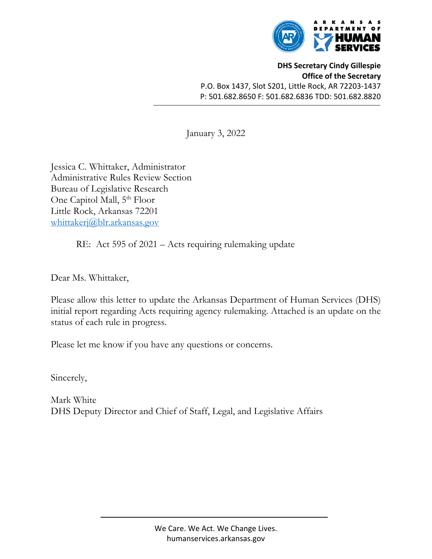

**DHS Secretary Cindy Gillespie Office of the Secretary** P.O. Box 1437, Slot S201, Little Rock, AR 72203‐1437 P: 501.682.8650 F: 501.682.6836 TDD: 501.682.8820

January 3, 2022

Jessica C. Whittaker, Administrator Administrative Rules Review Section Bureau of Legislative Research One Capitol Mall, 5<sup>th</sup> Floor Little Rock, Arkansas 72201 whittakerj@blr.arkansas.gov

RE: Act 595 of 2021 – Acts requiring rulemaking update

Dear Ms. Whittaker,

Please allow this letter to update the Arkansas Department of Human Services (DHS) initial report regarding Acts requiring agency rulemaking. Attached is an update on the status of each rule in progress.

Please let me know if you have any questions or concerns.

Sincerely,

Mark White DHS Deputy Director and Chief of Staff, Legal, and Legislative Affairs